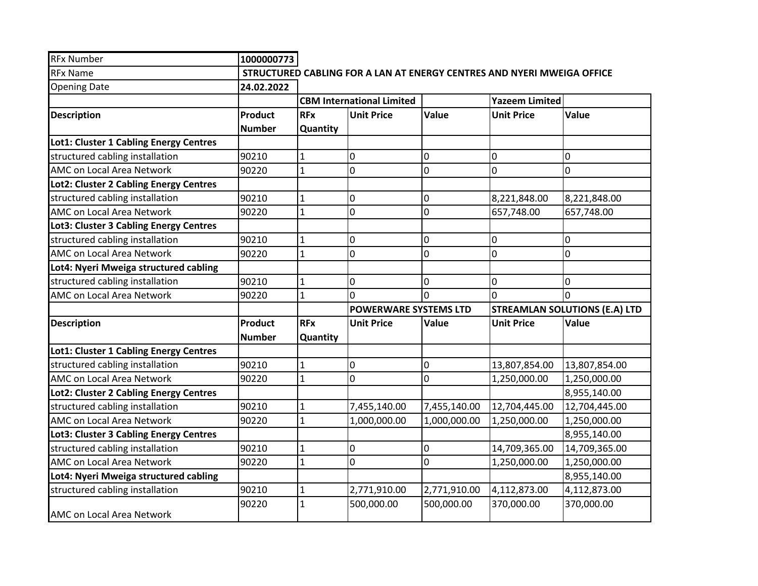| <b>RFx Number</b>                      | 1000000773     |                                  |                              |              |                                                                        |               |
|----------------------------------------|----------------|----------------------------------|------------------------------|--------------|------------------------------------------------------------------------|---------------|
| <b>RFx Name</b>                        |                |                                  |                              |              | STRUCTURED CABLING FOR A LAN AT ENERGY CENTRES AND NYERI MWEIGA OFFICE |               |
| <b>Opening Date</b>                    | 24.02.2022     |                                  |                              |              |                                                                        |               |
|                                        |                | <b>CBM International Limited</b> |                              |              | <b>Yazeem Limited</b>                                                  |               |
| <b>Description</b>                     | <b>Product</b> | <b>RFx</b>                       | <b>Unit Price</b>            | Value        | <b>Unit Price</b>                                                      | Value         |
|                                        | <b>Number</b>  | Quantity                         |                              |              |                                                                        |               |
| Lot1: Cluster 1 Cabling Energy Centres |                |                                  |                              |              |                                                                        |               |
| structured cabling installation        | 90210          | 1                                | 0                            | 0            | 0                                                                      | 0             |
| AMC on Local Area Network              | 90220          | $\mathbf{1}$                     | 0                            | 0            | 0                                                                      | 0             |
| Lot2: Cluster 2 Cabling Energy Centres |                |                                  |                              |              |                                                                        |               |
| structured cabling installation        | 90210          | $\mathbf 1$                      | 0                            | 0            | 8,221,848.00                                                           | 8,221,848.00  |
| AMC on Local Area Network              | 90220          | $\mathbf{1}$                     | 0                            | 0            | 657,748.00                                                             | 657,748.00    |
| Lot3: Cluster 3 Cabling Energy Centres |                |                                  |                              |              |                                                                        |               |
| structured cabling installation        | 90210          | $\mathbf{1}$                     | 0                            | 0            | 0                                                                      | 0             |
| AMC on Local Area Network              | 90220          | $\mathbf{1}$                     | 0                            | 0            | 0                                                                      | 0             |
| Lot4: Nyeri Mweiga structured cabling  |                |                                  |                              |              |                                                                        |               |
| structured cabling installation        | 90210          | $\mathbf{1}$                     | 0                            | 0            | 0                                                                      | 0             |
| AMC on Local Area Network              | 90220          | $\mathbf{1}$                     | 0                            | $\Omega$     | $\Omega$                                                               | $\Omega$      |
|                                        |                |                                  | <b>POWERWARE SYSTEMS LTD</b> |              | <b>STREAMLAN SOLUTIONS (E.A) LTD</b>                                   |               |
| <b>Description</b>                     | <b>Product</b> | <b>RFx</b>                       | <b>Unit Price</b>            | Value        | <b>Unit Price</b>                                                      | <b>Value</b>  |
|                                        | <b>Number</b>  | Quantity                         |                              |              |                                                                        |               |
| Lot1: Cluster 1 Cabling Energy Centres |                |                                  |                              |              |                                                                        |               |
| structured cabling installation        | 90210          | $\mathbf{1}$                     | 0                            | 0            | 13,807,854.00                                                          | 13,807,854.00 |
| AMC on Local Area Network              | 90220          | $\mathbf 1$                      | 0                            | 0            | 1,250,000.00                                                           | 1,250,000.00  |
| Lot2: Cluster 2 Cabling Energy Centres |                |                                  |                              |              |                                                                        | 8,955,140.00  |
| structured cabling installation        | 90210          | $\mathbf{1}$                     | 7,455,140.00                 | 7,455,140.00 | 12,704,445.00                                                          | 12,704,445.00 |
| AMC on Local Area Network              | 90220          | $\mathbf{1}$                     | 1,000,000.00                 | 1,000,000.00 | 1,250,000.00                                                           | 1,250,000.00  |
| Lot3: Cluster 3 Cabling Energy Centres |                |                                  |                              |              |                                                                        | 8,955,140.00  |
| structured cabling installation        | 90210          | $\mathbf{1}$                     | 0                            | 0            | 14,709,365.00                                                          | 14,709,365.00 |
| AMC on Local Area Network              | 90220          | $\mathbf{1}$                     | 0                            | 0            | 1,250,000.00                                                           | 1,250,000.00  |
| Lot4: Nyeri Mweiga structured cabling  |                |                                  |                              |              |                                                                        | 8,955,140.00  |
| structured cabling installation        | 90210          | $\mathbf 1$                      | 2,771,910.00                 | 2,771,910.00 | 4,112,873.00                                                           | 4,112,873.00  |
|                                        | 90220          | $\mathbf{1}$                     | 500,000.00                   | 500,000.00   | 370,000.00                                                             | 370,000.00    |
| AMC on Local Area Network              |                |                                  |                              |              |                                                                        |               |